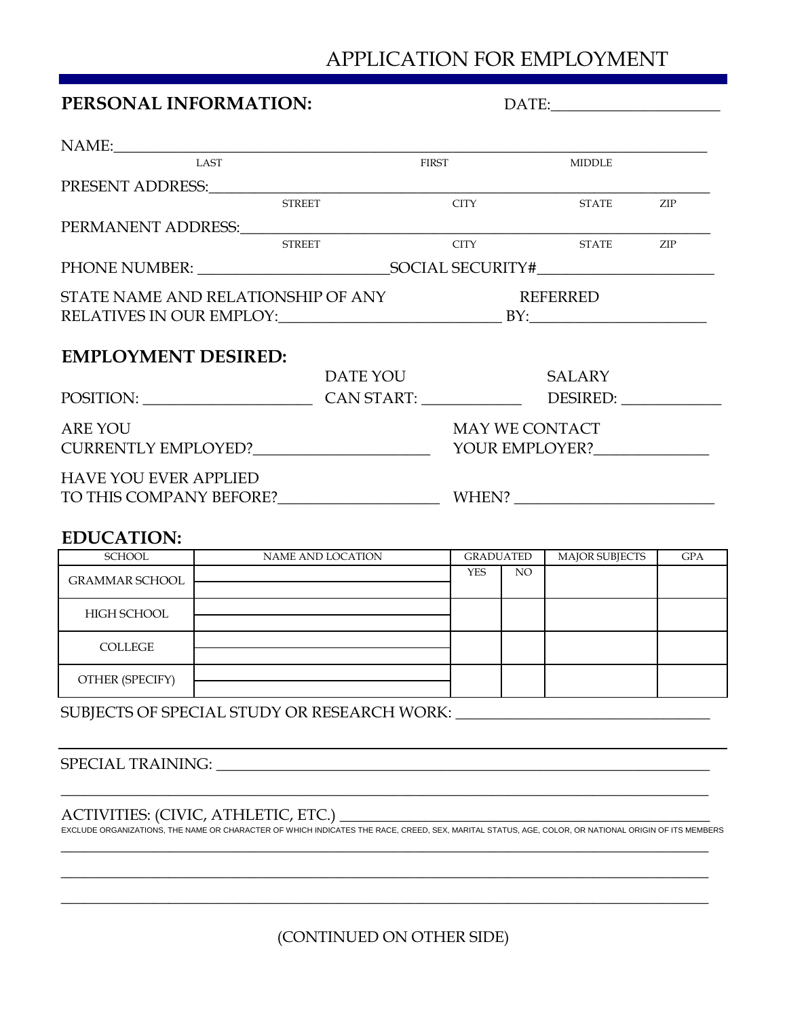# APPLICATION FOR EMPLOYMENT

| PERSONAL INFORMATION:                                         |  | $\text{DATE:}\underbrace{\qquad \qquad }_{\qquad \qquad \qquad }\qquad \qquad \qquad }_{\qquad \qquad \qquad }\qquad \qquad \qquad \qquad ~~\qquad \qquad ~~\qquad \qquad ~~\qquad \qquad ~~\qquad \qquad ~~\qquad \qquad ~~\qquad \qquad ~~\qquad \qquad ~~\qquad \qquad ~~\qquad \qquad ~~\qquad \qquad ~~\qquad \qquad ~~\qquad \qquad ~~\qquad \qquad ~~\qquad \qquad ~~\qquad \qquad ~~\qquad \qquad ~~\qquad \qquad ~~\qquad \qquad ~~\qquad \qquad ~~\qquad \qquad ~~\qquad \qquad ~~\qquad \qquad ~~\qquad \qquad ~~$ |                                         |     |
|---------------------------------------------------------------|--|-------------------------------------------------------------------------------------------------------------------------------------------------------------------------------------------------------------------------------------------------------------------------------------------------------------------------------------------------------------------------------------------------------------------------------------------------------------------------------------------------------------------------------|-----------------------------------------|-----|
|                                                               |  |                                                                                                                                                                                                                                                                                                                                                                                                                                                                                                                               |                                         |     |
| <b>LAST</b>                                                   |  | <b>FIRST</b>                                                                                                                                                                                                                                                                                                                                                                                                                                                                                                                  | <b>MIDDLE</b>                           |     |
|                                                               |  |                                                                                                                                                                                                                                                                                                                                                                                                                                                                                                                               |                                         |     |
| <b>STREET</b>                                                 |  | <b>CITY</b>                                                                                                                                                                                                                                                                                                                                                                                                                                                                                                                   | <b>STATE</b>                            | ZIP |
|                                                               |  |                                                                                                                                                                                                                                                                                                                                                                                                                                                                                                                               |                                         |     |
| <b>STREET</b>                                                 |  |                                                                                                                                                                                                                                                                                                                                                                                                                                                                                                                               | CITY STATE ZIP                          |     |
|                                                               |  |                                                                                                                                                                                                                                                                                                                                                                                                                                                                                                                               |                                         |     |
| STATE NAME AND RELATIONSHIP OF ANY                            |  |                                                                                                                                                                                                                                                                                                                                                                                                                                                                                                                               | <b>REFERRED</b>                         |     |
| <b>EMPLOYMENT DESIRED:</b>                                    |  | DATE YOU SALARY                                                                                                                                                                                                                                                                                                                                                                                                                                                                                                               |                                         |     |
| POSITION: CAN START: DESIRED: DESIRED:                        |  |                                                                                                                                                                                                                                                                                                                                                                                                                                                                                                                               |                                         |     |
| <b>ARE YOU</b>                                                |  |                                                                                                                                                                                                                                                                                                                                                                                                                                                                                                                               | <b>MAY WE CONTACT</b><br>YOUR EMPLOYER? |     |
| <b>HAVE YOU EVER APPLIED</b><br>TO THIS COMPANY BEFORE? WHEN? |  |                                                                                                                                                                                                                                                                                                                                                                                                                                                                                                                               |                                         |     |
| <b>EDUCATION:</b>                                             |  |                                                                                                                                                                                                                                                                                                                                                                                                                                                                                                                               |                                         |     |

# SCHOOL GPA NAME AND LOCATION GRADUATED MAJOR SUBJECTS GRAMMAR SCHOOL NO HIGH SCHOOL COLLEGE OTHER (SPECIFY) YES

SUBJECTS OF SPECIAL STUDY OR RESEARCH WORK: \_

SPECIAL TRAINING:

ACTIVITIES: (CIVIC, ATHLETIC, ETC.) \_

\_\_\_\_\_\_\_\_\_\_\_\_\_\_\_\_\_\_\_\_\_\_\_\_\_\_\_\_\_\_\_\_\_\_\_\_\_\_\_\_\_\_\_\_\_\_\_\_\_\_\_\_\_\_\_\_\_\_\_\_\_\_\_\_\_\_\_\_\_\_\_\_\_\_\_\_\_\_\_\_\_\_\_\_ EXCLUDE ORGANIZATIONS, THE NAME OR CHARACTER OF WHICH INDICATES THE RACE, CREED, SEX, MARITAL STATUS, AGE, COLOR, OR NATIONAL ORIGIN OF ITS MEMBERS

\_\_\_\_\_\_\_\_\_\_\_\_\_\_\_\_\_\_\_\_\_\_\_\_\_\_\_\_\_\_\_\_\_\_\_\_\_\_\_\_\_\_\_\_\_\_\_\_\_\_\_\_\_\_\_\_\_\_\_\_\_\_\_\_\_\_\_\_\_\_\_\_\_\_\_\_\_\_\_\_\_\_\_\_ \_\_\_\_\_\_\_\_\_\_\_\_\_\_\_\_\_\_\_\_\_\_\_\_\_\_\_\_\_\_\_\_\_\_\_\_\_\_\_\_\_\_\_\_\_\_\_\_\_\_\_\_\_\_\_\_\_\_\_\_\_\_\_\_\_\_\_\_\_\_\_\_\_\_\_\_\_\_\_\_\_\_\_\_

\_\_\_\_\_\_\_\_\_\_\_\_\_\_\_\_\_\_\_\_\_\_\_\_\_\_\_\_\_\_\_\_\_\_\_\_\_\_\_\_\_\_\_\_\_\_\_\_\_\_\_\_\_\_\_\_\_\_\_\_\_\_\_\_\_\_\_\_\_\_\_\_\_\_\_\_\_\_\_\_\_\_\_\_

(CONTINUED ON OTHER SIDE)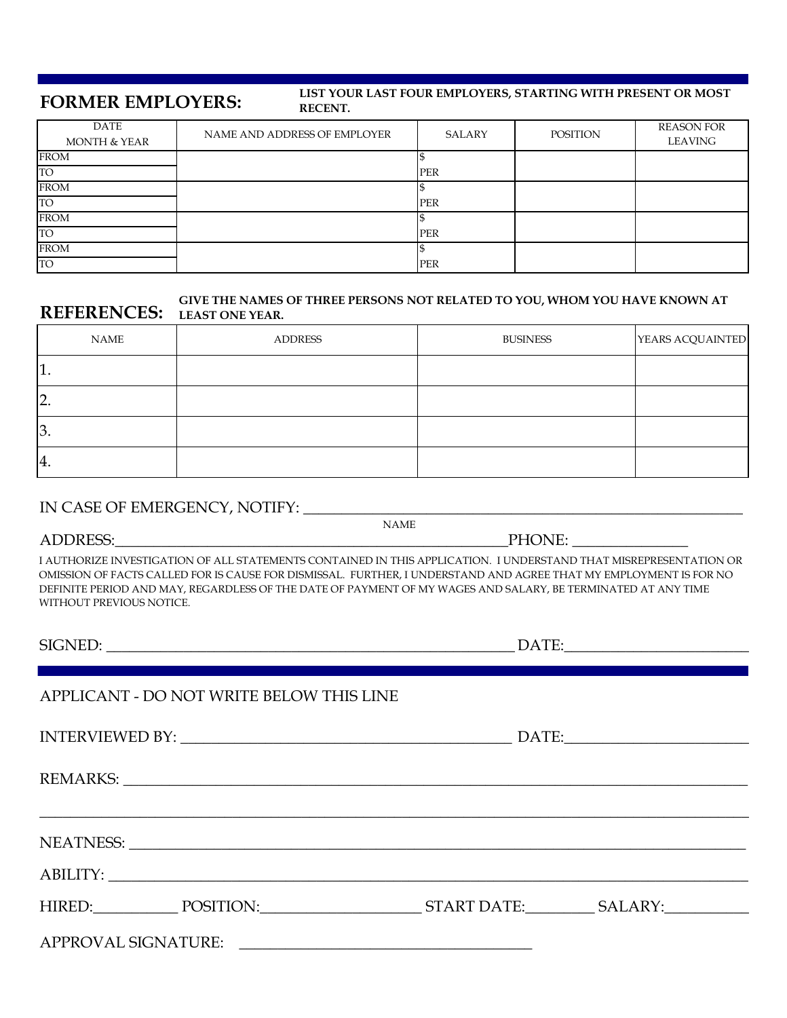### **FORMER EMPLOYERS:**

#### **LIST YOUR LAST FOUR EMPLOYERS, STARTING WITH PRESENT OR MOST RECENT.**

| DATE<br><b>MONTH &amp; YEAR</b> | NAME AND ADDRESS OF EMPLOYER | SALARY     | POSITION | <b>REASON FOR</b><br>LEAVING |
|---------------------------------|------------------------------|------------|----------|------------------------------|
| <b>FROM</b>                     |                              |            |          |                              |
| <b>TO</b>                       |                              | <b>PER</b> |          |                              |
| <b>FROM</b>                     |                              |            |          |                              |
| <b>TO</b>                       |                              | PER        |          |                              |
| <b>FROM</b>                     |                              |            |          |                              |
| <b>TO</b>                       |                              | <b>PER</b> |          |                              |
| <b>FROM</b>                     |                              |            |          |                              |
| <b>TO</b>                       |                              | PER        |          |                              |

### **REFERENCES: LEAST ONE YEAR. GIVE THE NAMES OF THREE PERSONS NOT RELATED TO YOU, WHOM YOU HAVE KNOWN AT**

| NAME          | <b>ADDRESS</b> | <b>BUSINESS</b> | YEARS ACQUAINTED |
|---------------|----------------|-----------------|------------------|
| τ.            |                |                 |                  |
| <sup>2.</sup> |                |                 |                  |
| 3.            |                |                 |                  |
| 14.           |                |                 |                  |

### IN CASE OF EMERGENCY, NOTIFY:

I AUTHORIZE INVESTIGATION OF ALL STATEMENTS CONTAINED IN THIS APPLICATION. I UNDERSTAND THAT MISREPRESENTATION OR OMISSION OF FACTS CALLED FOR IS CAUSE FOR DISMISSAL. FURTHER, I UNDERSTAND AND AGREE THAT MY EMPLOYMENT IS FOR NO DEFINITE PERIOD AND MAY, REGARDLESS OF THE DATE OF PAYMENT OF MY WAGES AND SALARY, BE TERMINATED AT ANY TIME WITHOUT PREVIOUS NOTICE.

 $\_$  , and the set of the set of the set of the set of the set of the set of the set of the set of the set of the set of the set of the set of the set of the set of the set of the set of the set of the set of the set of th

| SIGNED: |
|---------|
|---------|

## APPLICANT - DO NOT WRITE BELOW THIS LINE

INTERVIEWED BY: \_\_\_\_\_\_\_\_\_\_\_\_\_\_\_\_\_\_\_\_\_\_\_\_\_\_\_\_\_\_\_\_\_\_\_\_\_\_\_\_\_\_\_ DATE:\_\_\_\_\_\_\_\_\_\_\_\_\_\_\_\_\_\_\_\_\_\_\_\_

REMARKS:

NEATNESS: \_\_\_\_\_\_\_\_\_\_\_\_\_\_\_\_\_\_\_\_\_\_\_\_\_\_\_\_\_\_\_\_\_\_\_\_\_\_\_\_\_\_\_\_\_\_\_\_\_\_\_\_\_\_\_\_\_\_\_\_\_\_\_\_\_\_\_\_\_\_\_\_\_\_\_\_\_\_\_\_

ABILITY:

| HIRED. |  |  |
|--------|--|--|

HIRED: POSITION: START DATE: SALARY:

APPROVAL SIGNATURE: \_\_\_\_\_\_\_\_\_\_\_\_\_\_\_\_\_\_\_\_\_\_\_\_\_\_\_\_\_\_\_\_\_\_\_\_\_\_

NAME

 $\text{DATE:}$ 

PHONE: